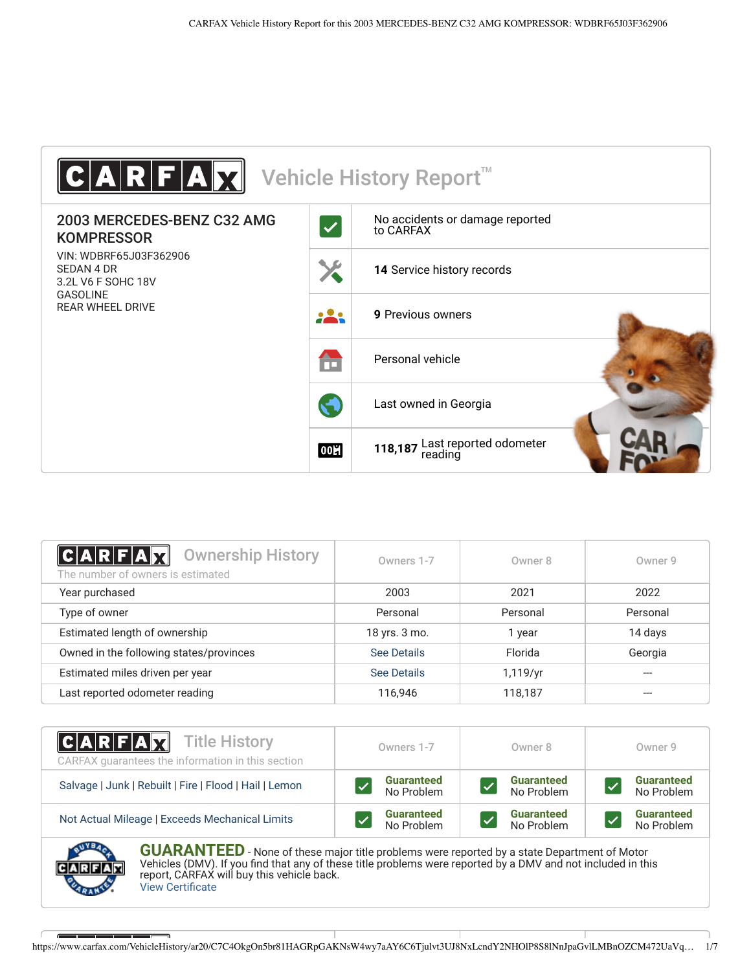

<span id="page-0-1"></span>

| $ C A R F A \chi $<br><b>Ownership History</b><br>The number of owners is estimated | Owners 1-7         | Owner 8  | Owner 9  |
|-------------------------------------------------------------------------------------|--------------------|----------|----------|
| Year purchased                                                                      | 2003               | 2021     | 2022     |
| Type of owner                                                                       | Personal           | Personal | Personal |
| Estimated length of ownership                                                       | 18 yrs. 3 mo.      | year     | 14 days  |
| Owned in the following states/provinces                                             | <b>See Details</b> | Florida  | Georgia  |
| Estimated miles driven per year                                                     | <b>See Details</b> | 1,119/yr |          |
| Last reported odometer reading                                                      | 116,946            | 118,187  |          |

| <b>CARFAX</b> Title History<br>CARFAX guarantees the information in this section | Owners 1-7                                                                                                 | Owner 8           | Owner 9           |
|----------------------------------------------------------------------------------|------------------------------------------------------------------------------------------------------------|-------------------|-------------------|
| Salvage   Junk   Rebuilt   Fire   Flood   Hail   Lemon                           | <b>Guaranteed</b>                                                                                          | <b>Guaranteed</b> | <b>Guaranteed</b> |
|                                                                                  | No Problem                                                                                                 | No Problem        | No Problem        |
| Not Actual Mileage   Exceeds Mechanical Limits                                   | <b>Guaranteed</b>                                                                                          | <b>Guaranteed</b> | <b>Guaranteed</b> |
|                                                                                  | No Problem                                                                                                 | No Problem        | No Problem        |
| <b>AUYBA</b><br>CIIADANTEEN                                                      | . Mais a shi ba an an ainm title is shell anno 11100 ann an taobhail ann an taobhaidh ann an t-aidh Matas. |                   |                   |

<span id="page-0-0"></span>**KAN I EED** - None of these major title problems were reported by a state Department of Motor Vehicles (DMV). If you find that any of these title problems were reported by a DMV and not included in this report, CARFAX will buy this vehicle back. [View Certificate](https://www.carfax.com/VehicleHistory/ar20/C7C4OkgOn5br81HAGRpGAKNsW4wy7aAY6C6Tjulvt3UJ8NxLcndY2NHOlP8S8lNnJpaGvlLMBnOZCM472UaVqL9w2i34YXJU77c)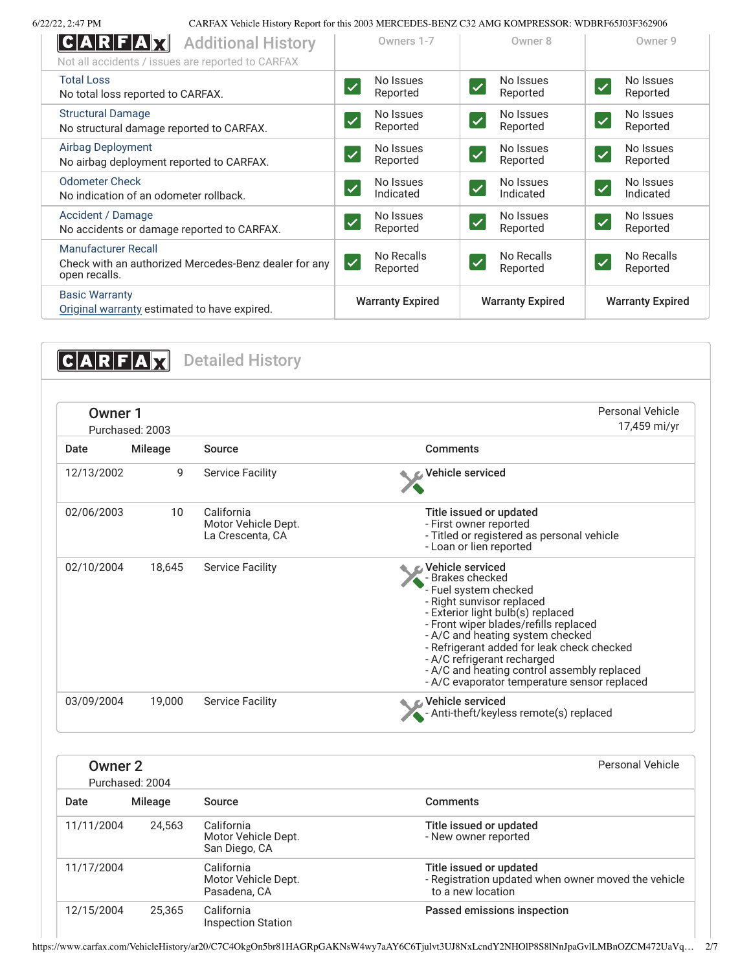6/22/22, 2:47 PM CARFAX Vehicle History Report for this 2003 MERCEDES-BENZ C32 AMG KOMPRESSOR: WDBRF65J03F362906

| C A R F A X<br><b>Additional History</b><br>Not all accidents / issues are reported to CARFAX        | Owners 1-7                                        | Owner 8                                            | Owner 9                                          |
|------------------------------------------------------------------------------------------------------|---------------------------------------------------|----------------------------------------------------|--------------------------------------------------|
| <b>Total Loss</b><br>No total loss reported to CARFAX.                                               | No Issues<br>$\checkmark$<br>Reported             | No Issues<br>$\checkmark$<br>Reported              | No Issues<br>$\overline{\checkmark}$<br>Reported |
| <b>Structural Damage</b><br>No structural damage reported to CARFAX.                                 | No Issues<br>$\checkmark$<br>Reported             | No Issues<br>$\checkmark$<br>Reported              | No Issues<br>$\checkmark$<br>Reported            |
| Airbag Deployment<br>No airbag deployment reported to CARFAX.                                        | No Issues<br>$\overline{\mathcal{L}}$<br>Reported | No Issues<br>$\checkmark$<br>Reported              | No Issues<br>$\checkmark$<br>Reported            |
| <b>Odometer Check</b><br>No indication of an odometer rollback.                                      | No Issues<br>$\checkmark$<br>Indicated            | No Issues<br>$\checkmark$<br>Indicated             | No Issues<br>$\checkmark$<br>Indicated           |
| Accident / Damage<br>No accidents or damage reported to CARFAX.                                      | No Issues<br>$\checkmark$<br>Reported             | No Issues<br>$\checkmark$<br>Reported              | No Issues<br>$\checkmark$<br>Reported            |
| <b>Manufacturer Recall</b><br>Check with an authorized Mercedes-Benz dealer for any<br>open recalls. | No Recalls<br>$ \mathcal{S} $<br>Reported         | No Recalls<br>$\overline{\mathcal{L}}$<br>Reported | No Recalls<br>$\checkmark$<br>Reported           |
| <b>Basic Warranty</b><br>Original warranty estimated to have expired.                                | <b>Warranty Expired</b>                           | <b>Warranty Expired</b>                            | <b>Warranty Expired</b>                          |

<span id="page-1-0"></span>**CARFAX** Detailed History

<span id="page-1-1"></span>

| Owner 1<br>Purchased: 2003 |                |                                                       | Personal Vehicle<br>17,459 mi/yr                                                                                                                                                                                                                                                                                                                                                         |
|----------------------------|----------------|-------------------------------------------------------|------------------------------------------------------------------------------------------------------------------------------------------------------------------------------------------------------------------------------------------------------------------------------------------------------------------------------------------------------------------------------------------|
| Date                       | <b>Mileage</b> | Source                                                | Comments                                                                                                                                                                                                                                                                                                                                                                                 |
| 12/13/2002                 | 9              | <b>Service Facility</b>                               | Vehicle serviced                                                                                                                                                                                                                                                                                                                                                                         |
| 02/06/2003                 | 10             | California<br>Motor Vehicle Dept.<br>La Crescenta, CA | Title issued or updated<br>- First owner reported<br>- Titled or registered as personal vehicle<br>- Loan or lien reported                                                                                                                                                                                                                                                               |
| 02/10/2004                 | 18,645         | <b>Service Facility</b>                               | Vehicle serviced<br>- Brakes checked<br>- Fuel system checked<br>- Right sunvisor replaced<br>- Exterior light bulb(s) replaced<br>- Front wiper blades/refills replaced<br>- A/C and heating system checked<br>- Refrigerant added for leak check checked<br>- A/C refrigerant recharged<br>- A/C and heating control assembly replaced<br>- A/C evaporator temperature sensor replaced |
| 03/09/2004                 | 19,000         | <b>Service Facility</b>                               | Vehicle serviced<br>- Anti-theft/keyless remote(s) replaced                                                                                                                                                                                                                                                                                                                              |

| Owner 2<br>Purchased: 2004 |         |                                                    | Personal Vehicle                                                                                    |
|----------------------------|---------|----------------------------------------------------|-----------------------------------------------------------------------------------------------------|
| Date                       | Mileage | Source                                             | <b>Comments</b>                                                                                     |
| 11/11/2004                 | 24.563  | California<br>Motor Vehicle Dept.<br>San Diego, CA | Title issued or updated<br>- New owner reported                                                     |
| 11/17/2004                 |         | California<br>Motor Vehicle Dept.<br>Pasadena, CA  | Title issued or updated<br>- Registration updated when owner moved the vehicle<br>to a new location |
| 12/15/2004                 | 25.365  | California<br><b>Inspection Station</b>            | Passed emissions inspection                                                                         |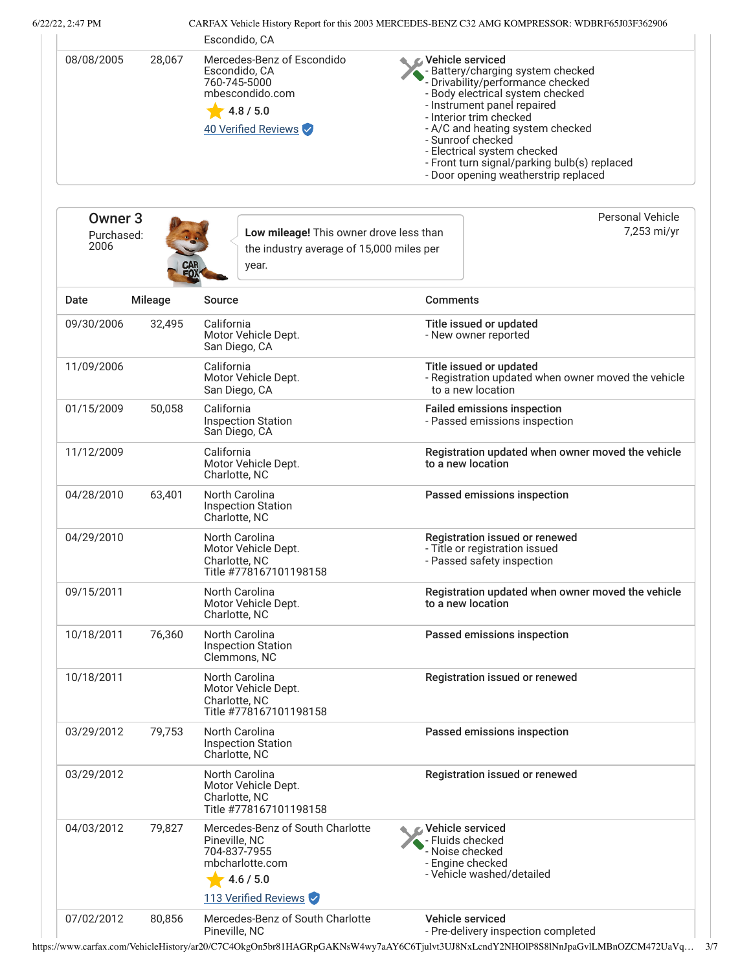6/22/22, 2:47 PM CARFAX Vehicle History Report for this 2003 MERCEDES-BENZ C32 AMG KOMPRESSOR: WDBRF65J03F362906

|                                          |                | Escondido, CA                                                                                                             |                                                                                                                                                                                                                                                                                                                                                                          |
|------------------------------------------|----------------|---------------------------------------------------------------------------------------------------------------------------|--------------------------------------------------------------------------------------------------------------------------------------------------------------------------------------------------------------------------------------------------------------------------------------------------------------------------------------------------------------------------|
| 08/08/2005                               | 28,067         | Mercedes-Benz of Escondido<br>Escondido, CA<br>760-745-5000<br>mbescondido.com<br>4.8 / 5.0<br>40 Verified Reviews        | Vehicle serviced<br>- Battery/charging system checked<br>- Drivability/performance checked<br>- Body electrical system checked<br>- Instrument panel repaired<br>- Interior trim checked<br>- A/C and heating system checked<br>- Sunroof checked<br>- Electrical system checked<br>- Front turn signal/parking bulb(s) replaced<br>- Door opening weatherstrip replaced |
|                                          |                |                                                                                                                           | <b>Personal Vehicle</b>                                                                                                                                                                                                                                                                                                                                                  |
| Owner <sub>3</sub><br>Purchased:<br>2006 |                | Low mileage! This owner drove less than<br>the industry average of 15,000 miles per<br>year.                              | 7,253 mi/yr                                                                                                                                                                                                                                                                                                                                                              |
| Date                                     | <b>Mileage</b> | Source                                                                                                                    | <b>Comments</b>                                                                                                                                                                                                                                                                                                                                                          |
| 09/30/2006                               | 32,495         | California<br>Motor Vehicle Dept.<br>San Diego, CA                                                                        | Title issued or updated<br>- New owner reported                                                                                                                                                                                                                                                                                                                          |
| 11/09/2006                               |                | California<br>Motor Vehicle Dept.<br>San Diego, CA                                                                        | Title issued or updated<br>- Registration updated when owner moved the vehicle<br>to a new location                                                                                                                                                                                                                                                                      |
| 01/15/2009                               | 50,058         | California<br><b>Inspection Station</b><br>San Diego, CA                                                                  | <b>Failed emissions inspection</b><br>- Passed emissions inspection                                                                                                                                                                                                                                                                                                      |
| 11/12/2009                               |                | California<br>Motor Vehicle Dept.<br>Charlotte, NC                                                                        | Registration updated when owner moved the vehicle<br>to a new location                                                                                                                                                                                                                                                                                                   |
| 04/28/2010                               | 63,401         | North Carolina<br><b>Inspection Station</b><br>Charlotte, NC                                                              | Passed emissions inspection                                                                                                                                                                                                                                                                                                                                              |
| 04/29/2010                               |                | North Carolina<br>Motor Vehicle Dept.<br>Charlotte, NC<br>Title #778167101198158                                          | Registration issued or renewed<br>- Title or registration issued<br>- Passed safety inspection                                                                                                                                                                                                                                                                           |
| 09/15/2011                               |                | North Carolina<br>Motor Vehicle Dept.<br>Charlotte, NC                                                                    | Registration updated when owner moved the vehicle<br>to a new location                                                                                                                                                                                                                                                                                                   |
| 10/18/2011                               | 76,360         | North Carolina<br><b>Inspection Station</b><br>Clemmons, NC                                                               | Passed emissions inspection                                                                                                                                                                                                                                                                                                                                              |
| 10/18/2011                               |                | North Carolina<br>Motor Vehicle Dept.<br>Charlotte, NC<br>Title #778167101198158                                          | Registration issued or renewed                                                                                                                                                                                                                                                                                                                                           |
| 03/29/2012                               | 79,753         | North Carolina<br><b>Inspection Station</b><br>Charlotte, NC                                                              | Passed emissions inspection                                                                                                                                                                                                                                                                                                                                              |
| 03/29/2012                               |                | North Carolina<br>Motor Vehicle Dept.<br>Charlotte, NC<br>Title #778167101198158                                          | Registration issued or renewed                                                                                                                                                                                                                                                                                                                                           |
| 04/03/2012                               | 79,827         | Mercedes-Benz of South Charlotte<br>Pineville, NC<br>704-837-7955<br>mbcharlotte.com<br>4.6 / 5.0<br>113 Verified Reviews | Vehicle serviced<br>- Fluids checked<br>Noise checked<br>- Engine checked<br>- Vehicle washed/detailed                                                                                                                                                                                                                                                                   |
| 07/02/2012                               | 80,856         | Mercedes-Benz of South Charlotte<br>Pineville, NC                                                                         | Vehicle serviced<br>- Pre-delivery inspection completed                                                                                                                                                                                                                                                                                                                  |

https://www.carfax.com/VehicleHistory/ar20/C7C4OkgOn5br81HAGRpGAKNsW4wy7aAY6C6Tjulvt3UJ8NxLcndY2NHOlP8S8lNnJpaGvlLMBnOZCM472UaVq… 3/7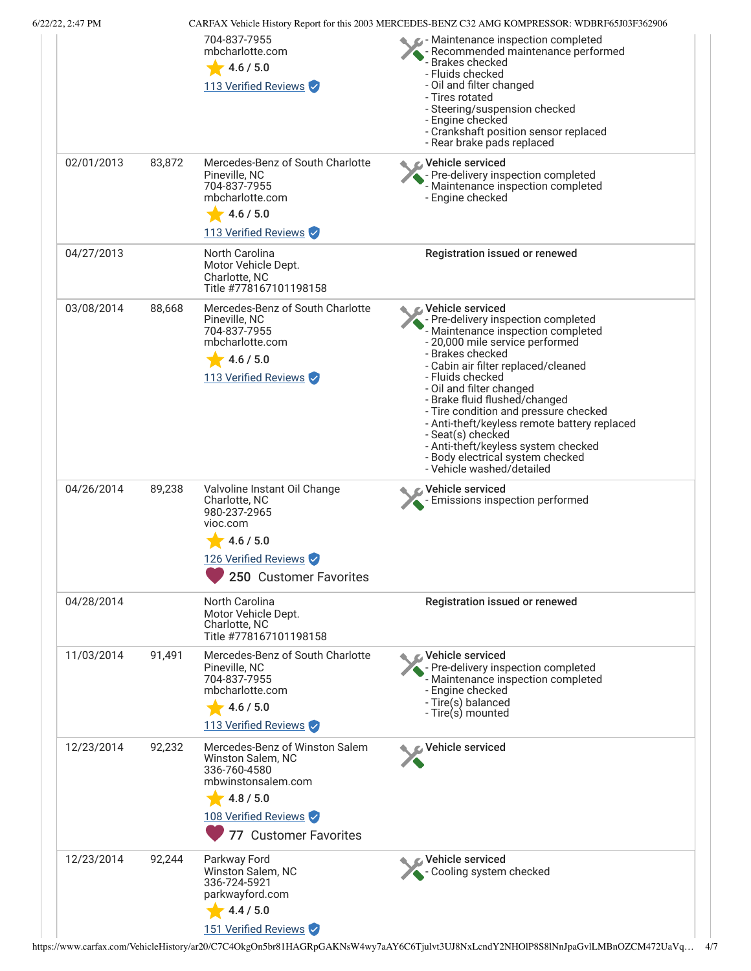| 6/22/22, 2:47 PM |        | 704-837-7955<br>mbcharlotte.com<br>4.6 / 5.0<br>113 Verified Reviews                                                                                    | CARFAX Vehicle History Report for this 2003 MERCEDES-BENZ C32 AMG KOMPRESSOR: WDBRF65J03F362906<br>- Maintenance inspection completed<br>- Recommended maintenance performed<br>- Brakes checked<br>- Fluids checked<br>- Oil and filter changed<br>- Tires rotated<br>- Steering/suspension checked<br>- Engine checked<br>- Crankshaft position sensor replaced<br>- Rear brake pads replaced                                                                                                    |
|------------------|--------|---------------------------------------------------------------------------------------------------------------------------------------------------------|----------------------------------------------------------------------------------------------------------------------------------------------------------------------------------------------------------------------------------------------------------------------------------------------------------------------------------------------------------------------------------------------------------------------------------------------------------------------------------------------------|
| 02/01/2013       | 83,872 | Mercedes-Benz of South Charlotte<br>Pineville, NC<br>704-837-7955<br>mbcharlotte.com<br>4.6 / 5.0<br>113 Verified Reviews                               | Vehicle serviced<br>- Pre-delivery inspection completed<br>- Maintenance inspection completed<br>- Engine checked                                                                                                                                                                                                                                                                                                                                                                                  |
| 04/27/2013       |        | North Carolina<br>Motor Vehicle Dept.<br>Charlotte, NC<br>Title #778167101198158                                                                        | Registration issued or renewed                                                                                                                                                                                                                                                                                                                                                                                                                                                                     |
| 03/08/2014       | 88,668 | Mercedes-Benz of South Charlotte<br>Pineville, NC<br>704-837-7955<br>mbcharlotte.com<br>4.6 / 5.0<br>113 Verified Reviews                               | Vehicle serviced<br>- Pre-delivery inspection completed<br>- Maintenance inspection completed<br>- 20,000 mile service performed<br>- Brakes checked<br>- Cabin air filter replaced/cleaned<br>- Fluids checked<br>- Oil and filter changed<br>- Brake fluid flushed/changed<br>- Tire condition and pressure checked<br>- Anti-theft/keyless remote battery replaced<br>- Seat(s) checked<br>- Anti-theft/keyless system checked<br>- Body electrical system checked<br>- Vehicle washed/detailed |
| 04/26/2014       | 89,238 | Valvoline Instant Oil Change<br>Charlotte, NC<br>980-237-2965<br>vioc.com<br>4.6 / 5.0<br>126 Verified Reviews<br>250 Customer Favorites                | Vehicle serviced<br>- Emissions inspection performed                                                                                                                                                                                                                                                                                                                                                                                                                                               |
| 04/28/2014       |        | North Carolina<br>Motor Vehicle Dept.<br>Charlotte, NC<br>Title #778167101198158                                                                        | Registration issued or renewed                                                                                                                                                                                                                                                                                                                                                                                                                                                                     |
| 11/03/2014       | 91,491 | Mercedes-Benz of South Charlotte<br>Pineville, NC<br>704-837-7955<br>mbcharlotte.com<br>4.6 / 5.0<br>113 Verified Reviews                               | <b>€</b> Vehicle serviced<br>- Pre-delivery inspection completed<br>- Maintenance inspection completed<br>- Engine checked<br>- Tire(s) balanced<br>- Tire(s) mounted                                                                                                                                                                                                                                                                                                                              |
| 12/23/2014       | 92,232 | Mercedes-Benz of Winston Salem<br>Winston Salem, NC<br>336-760-4580<br>mbwinstonsalem.com<br>4.8 / 5.0<br>108 Verified Reviews<br>77 Customer Favorites | Vehicle serviced                                                                                                                                                                                                                                                                                                                                                                                                                                                                                   |
| 12/23/2014       | 92,244 | Parkway Ford<br>Winston Salem, NC<br>336-724-5921<br>parkwayford.com<br>4.4 / 5.0<br>151 Verified Reviews                                               | <b>c</b> Vehicle serviced<br>- Cooling system checked                                                                                                                                                                                                                                                                                                                                                                                                                                              |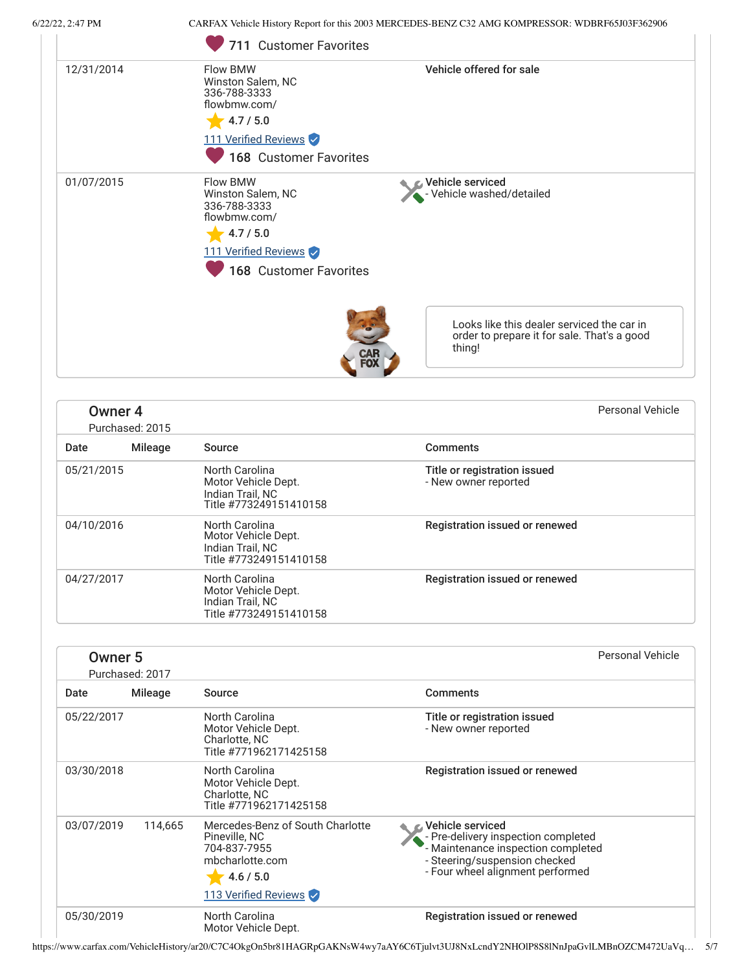6/22/22, 2:47 PM CARFAX Vehicle History Report for this 2003 MERCEDES-BENZ C32 AMG KOMPRESSOR: WDBRF65J03F362906

|            | 711 Customer Favorites                                                                                                                                                      |
|------------|-----------------------------------------------------------------------------------------------------------------------------------------------------------------------------|
| 12/31/2014 | Vehicle offered for sale<br>Flow BMW<br>Winston Salem, NC<br>336-788-3333<br>flowbmw.com/<br>4.7 / 5.0<br>111 Verified Reviews<br>168 Customer Favorites                    |
| 01/07/2015 | Flow BMW<br>Vehicle serviced<br>Vehicle washed/detailed<br>Winston Salem, NC<br>336-788-3333<br>flowbmw.com/<br>4.7 / 5.0<br>111 Verified Reviews<br>168 Customer Favorites |
|            | Looks like this dealer serviced the car in<br>order to prepare it for sale. That's a good<br>thing!                                                                         |

| Owner <sub>4</sub><br>Purchased: 2015 |         |                                                                                     |                                                      | Personal Vehicle |
|---------------------------------------|---------|-------------------------------------------------------------------------------------|------------------------------------------------------|------------------|
| Date                                  | Mileage | Source                                                                              | <b>Comments</b>                                      |                  |
| 05/21/2015                            |         | North Carolina<br>Motor Vehicle Dept.<br>Indian Trail, NC<br>Title #773249151410158 | Title or registration issued<br>- New owner reported |                  |
| 04/10/2016                            |         | North Carolina<br>Motor Vehicle Dept.<br>Indian Trail, NC<br>Title #773249151410158 | Registration issued or renewed                       |                  |
| 04/27/2017                            |         | North Carolina<br>Motor Vehicle Dept.<br>Indian Trail, NC<br>Title #773249151410158 | Registration issued or renewed                       |                  |

| Owner <sub>5</sub><br>Purchased: 2017 |                |                                                                                                                           | Personal Vehicle                                                                                                                                                     |
|---------------------------------------|----------------|---------------------------------------------------------------------------------------------------------------------------|----------------------------------------------------------------------------------------------------------------------------------------------------------------------|
| Date                                  | <b>Mileage</b> | Source                                                                                                                    | <b>Comments</b>                                                                                                                                                      |
| 05/22/2017                            |                | North Carolina<br>Motor Vehicle Dept.<br>Charlotte, NC<br>Title #771962171425158                                          | Title or registration issued<br>- New owner reported                                                                                                                 |
| 03/30/2018                            |                | North Carolina<br>Motor Vehicle Dept.<br>Charlotte, NC<br>Title #771962171425158                                          | Registration issued or renewed                                                                                                                                       |
| 03/07/2019                            | 114,665        | Mercedes-Benz of South Charlotte<br>Pineville, NC<br>704-837-7955<br>mbcharlotte.com<br>4.6 / 5.0<br>113 Verified Reviews | & Vehicle serviced<br>- Pre-delivery inspection completed<br>- Maintenance inspection completed<br>- Steering/suspension checked<br>- Four wheel alignment performed |
| 05/30/2019                            |                | North Carolina<br>Motor Vehicle Dept.                                                                                     | Registration issued or renewed                                                                                                                                       |

https://www.carfax.com/VehicleHistory/ar20/C7C4OkgOn5br81HAGRpGAKNsW4wy7aAY6C6Tjulvt3UJ8NxLcndY2NHOlP8S8lNnJpaGvlLMBnOZCM472UaVq… 5/7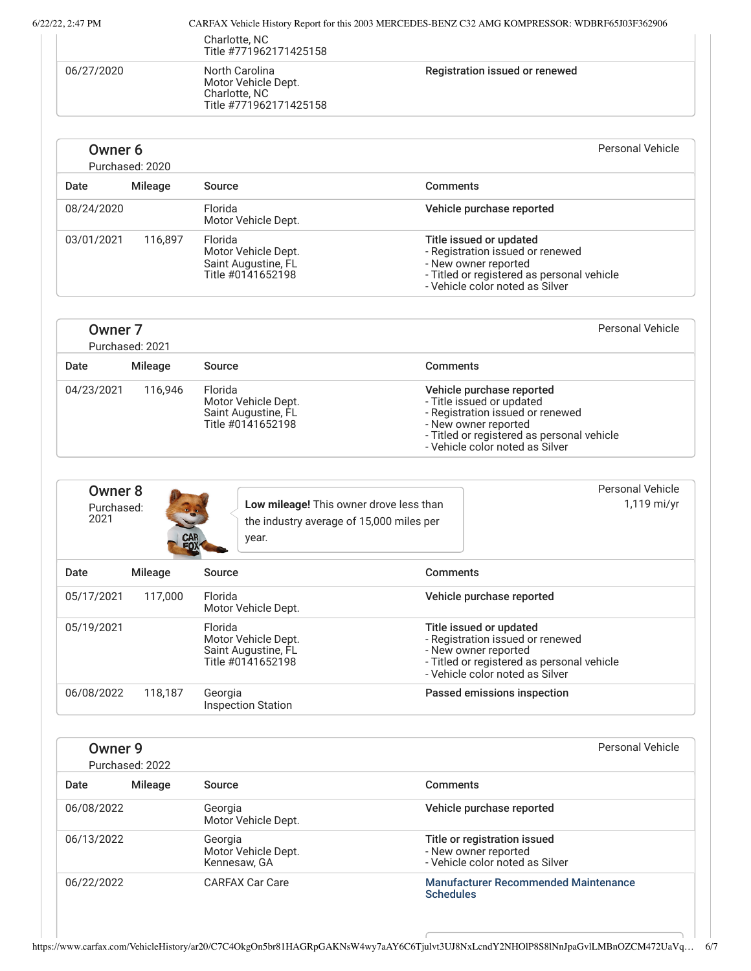| . 2:47 PM  |                                         | CARFAX Vehicle History Report for this 2003 MERCEDES-BENZ C32 AMG KOMPRESSOR: WDBRF65J03F362906 |
|------------|-----------------------------------------|-------------------------------------------------------------------------------------------------|
|            | Charlotte, NC<br>Title #771962171425158 |                                                                                                 |
| 06/27/2020 | North Carolina<br>Motor Vehicle Dept.   | Registration issued or renewed                                                                  |

| Owner 6<br>Purchased: 2020 |         |                                                                            | Personal Vehicle                                                                                                                                                     |
|----------------------------|---------|----------------------------------------------------------------------------|----------------------------------------------------------------------------------------------------------------------------------------------------------------------|
| Date                       | Mileage | Source                                                                     | Comments                                                                                                                                                             |
| 08/24/2020                 |         | Florida<br>Motor Vehicle Dept.                                             | Vehicle purchase reported                                                                                                                                            |
| 03/01/2021                 | 116.897 | Florida<br>Motor Vehicle Dept.<br>Saint Augustine, FL<br>Title #0141652198 | Title issued or updated<br>- Registration issued or renewed<br>- New owner reported<br>- Titled or registered as personal vehicle<br>- Vehicle color noted as Silver |

Charlotte, NC

Title #771962171425158

| Owner <sub>7</sub><br>Purchased: 2021 |         |                                                                            | Personal Vehicle                                                                                                                                                                                    |
|---------------------------------------|---------|----------------------------------------------------------------------------|-----------------------------------------------------------------------------------------------------------------------------------------------------------------------------------------------------|
| Date                                  | Mileage | Source                                                                     | <b>Comments</b>                                                                                                                                                                                     |
| 04/23/2021                            | 116.946 | Florida<br>Motor Vehicle Dept.<br>Saint Augustine, FL<br>Title #0141652198 | Vehicle purchase reported<br>- Title issued or updated<br>- Registration issued or renewed<br>- New owner reported<br>- Titled or registered as personal vehicle<br>- Vehicle color noted as Silver |

| Owner 8<br>Purchased:<br>2021 | CAR<br>FOX |         | Low mileage! This owner drove less than<br>the industry average of 15,000 miles per<br>year. | Personal Vehicle<br>1,119 mi/yr                                                                                                                                      |
|-------------------------------|------------|---------|----------------------------------------------------------------------------------------------|----------------------------------------------------------------------------------------------------------------------------------------------------------------------|
| Date                          | Mileage    | Source  |                                                                                              | <b>Comments</b>                                                                                                                                                      |
| 05/17/2021                    | 117.000    | Florida | Motor Vehicle Dept.                                                                          | Vehicle purchase reported                                                                                                                                            |
| 05/19/2021                    |            | Florida | Motor Vehicle Dept.<br>Saint Augustine, FL<br>Title #0141652198                              | Title issued or updated<br>- Registration issued or renewed<br>- New owner reported<br>- Titled or registered as personal vehicle<br>- Vehicle color noted as Silver |
| 06/08/2022                    | 118.187    | Georgia | <b>Inspection Station</b>                                                                    | Passed emissions inspection                                                                                                                                          |

| Owner 9<br>Purchased: 2022 |                |                                                | Personal Vehicle                                                                        |  |
|----------------------------|----------------|------------------------------------------------|-----------------------------------------------------------------------------------------|--|
| Date                       | <b>Mileage</b> | Source                                         | Comments                                                                                |  |
| 06/08/2022                 |                | Georgia<br>Motor Vehicle Dept.                 | Vehicle purchase reported                                                               |  |
| 06/13/2022                 |                | Georgia<br>Motor Vehicle Dept.<br>Kennesaw, GA | Title or registration issued<br>- New owner reported<br>- Vehicle color noted as Silver |  |
| 06/22/2022                 |                | <b>CARFAX Car Care</b>                         | <b>Manufacturer Recommended Maintenance</b><br><b>Schedules</b>                         |  |